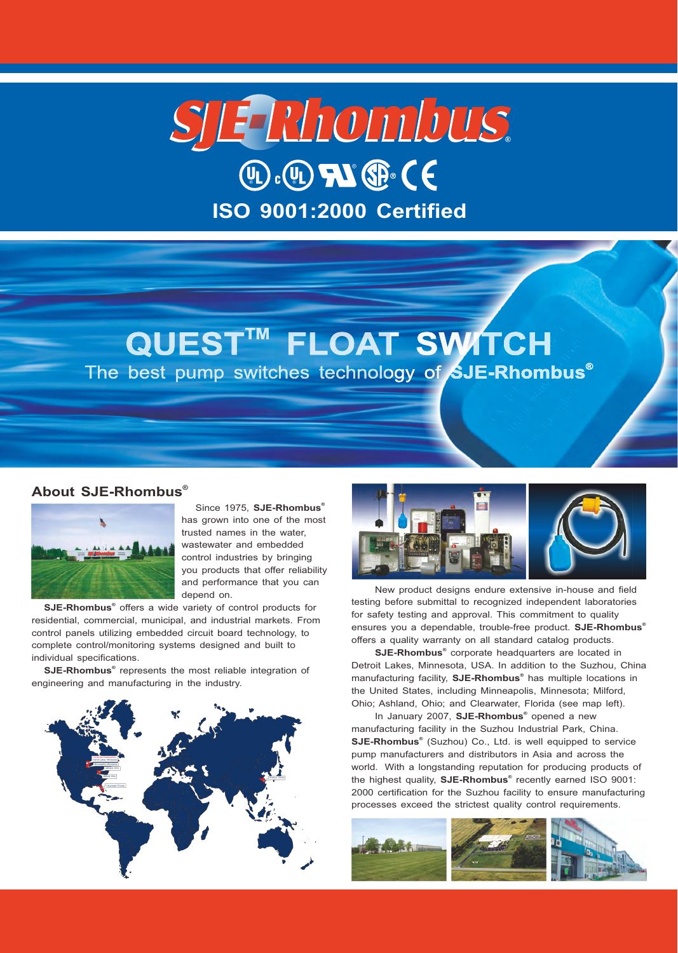# SJETRhombus  $(D \cdot \mathbb{Q})$  and  $\mathbb{Q}$   $\in$ **ISO 9001:2000 Certified**

# QUEST™ FLOAT SWITCH The best pump switches technology of SJE-Rhombus<sup>®</sup>

## **® About SJE-Rhombus**



has grown into one of the most trusted names in the water, wastewater and embedded control industries by bringing you products that offer reliability and performance that you can depend on.

**SJE-Rhombus**<sup>®</sup> offers a wide variety of control products for residential, commercial, municipal, and industrial markets. From control panels utilizing embedded circuit board technology, to complete control/monitoring systems designed and built to individual specifications.

**SJE-Rhombus**<sup>®</sup> represents the most reliable integration of engineering and manufacturing in the industry.





ensures you a dependable, trouble-free product. **SJE-Rhombus ®** offers a quality warranty on all standard catalog products. New product designs endure extensive in-house and field testing before submittal to recognized independent laboratories for safety testing and approval. This commitment to quality

**SJE-Rhombus**<sup>®</sup> corporate headquarters are located in Detroit Lakes, Minnesota, USA. In addition to the Suzhou, China manufacturing facility, **SJE-Rhombus**<sup>®</sup> has multiple locations in the United States, including Minneapolis, Minnesota; Milford, Ohio; Ashland, Ohio; and Clearwater, Florida (see map left).

In January 2007, **SJE-Rhombus**<sup>®</sup> opened a new manufacturing facility in the Suzhou Industrial Park, China. SJE-Rhombus<sup>®</sup> (Suzhou) Co., Ltd. is well equipped to service pump manufacturers and distributors in Asia and across the world. With a longstanding reputation for producing products of the highest quality, **SJE-Rhombus**® recently earned ISO 9001: 2000 certification for the Suzhou facility to ensure manufacturing processes exceed the strictest quality control requirements.